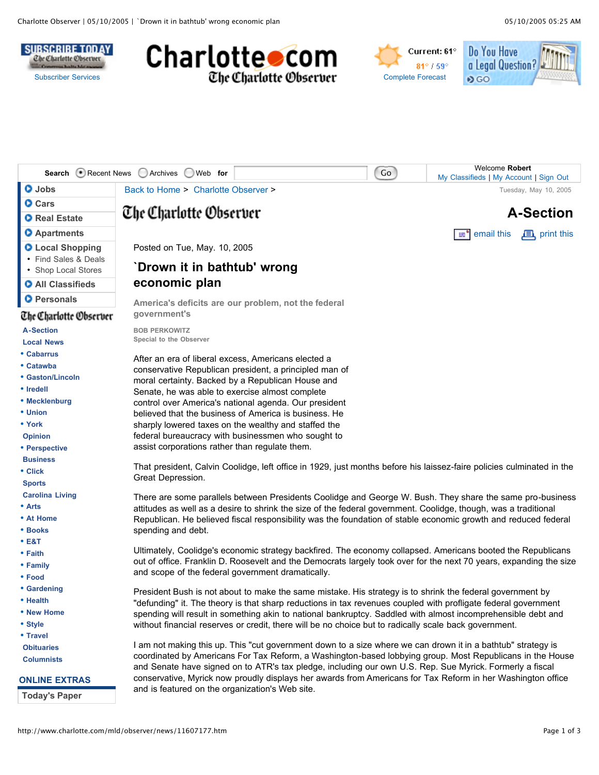







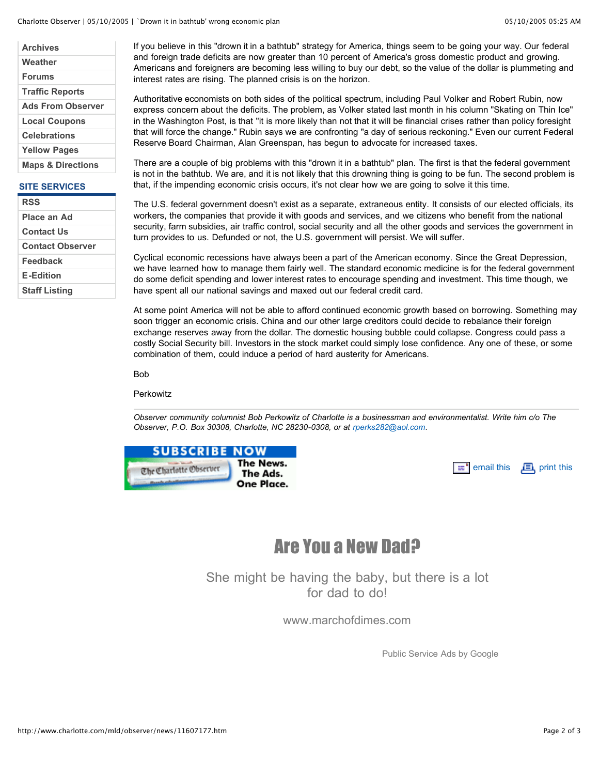| <b>Archives</b>              |
|------------------------------|
| Weather                      |
| <b>Forums</b>                |
| <b>Traffic Reports</b>       |
| <b>Ads From Observer</b>     |
| <b>Local Coupons</b>         |
| <b>Celebrations</b>          |
| <b>Yellow Pages</b>          |
| <b>Maps &amp; Directions</b> |
|                              |

## **SITE SERVICES**

| <b>RSS</b>              |
|-------------------------|
| Place an Ad             |
| <b>Contact Us</b>       |
| <b>Contact Observer</b> |
| Feedback                |
| <b>E-Edition</b>        |
| <b>Staff Listing</b>    |

If you believe in this "drown it in a bathtub" strategy for America, things seem to be going your way. Our federal and foreign trade deficits are now greater than 10 percent of America's gross domestic product and growing. Americans and foreigners are becoming less willing to buy our debt, so the value of the dollar is plummeting and interest rates are rising. The planned crisis is on the horizon.

Authoritative economists on both sides of the political spectrum, including Paul Volker and Robert Rubin, now express concern about the deficits. The problem, as Volker stated last month in his column "Skating on Thin Ice" in the Washington Post, is that "it is more likely than not that it will be financial crises rather than policy foresight that will force the change." Rubin says we are confronting "a day of serious reckoning." Even our current Federal Reserve Board Chairman, Alan Greenspan, has begun to advocate for increased taxes.

There are a couple of big problems with this "drown it in a bathtub" plan. The first is that the federal government is not in the bathtub. We are, and it is not likely that this drowning thing is going to be fun. The second problem is that, if the impending economic crisis occurs, it's not clear how we are going to solve it this time.

The U.S. federal government doesn't exist as a separate, extraneous entity. It consists of our elected officials, its workers, the companies that provide it with goods and services, and we citizens who benefit from the national security, farm subsidies, air traffic control, social security and all the other goods and services the government in turn provides to us. Defunded or not, the U.S. government will persist. We will suffer.

Cyclical economic recessions have always been a part of the American economy. Since the Great Depression, we have learned how to manage them fairly well. The standard economic medicine is for the federal government do some deficit spending and lower interest rates to encourage spending and investment. This time though, we have spent all our national savings and maxed out our federal credit card.

At some point America will not be able to afford continued economic growth based on borrowing. Something may soon trigger an economic crisis. China and our other large creditors could decide to rebalance their foreign exchange reserves away from the dollar. The domestic housing bubble could collapse. Congress could pass a costly Social Security bill. Investors in the stock market could simply lose confidence. Any one of these, or some combination of them, could induce a period of hard austerity for Americans.

Bob

Perkowitz

*Observer community columnist Bob Perkowitz of Charlotte is a businessman and environmentalist. Write him c/o The Observer, P.O. Box 30308, Charlotte, NC 28230-0308, or at rperks282@aol.com.*

| <b>SUBSCRIBE NOW</b> |                       |
|----------------------|-----------------------|
| The Charlotte Obset. | The News.<br>The Ads. |
|                      | One Place.            |

| $\equiv$ <sup>•</sup> email this $\Box$ print this |  |
|----------------------------------------------------|--|
|----------------------------------------------------|--|

## Are You a New Dad?

She might be having the baby, but there is a lot for dad to do!

www.marchofdimes.com

Public Service Ads by Google